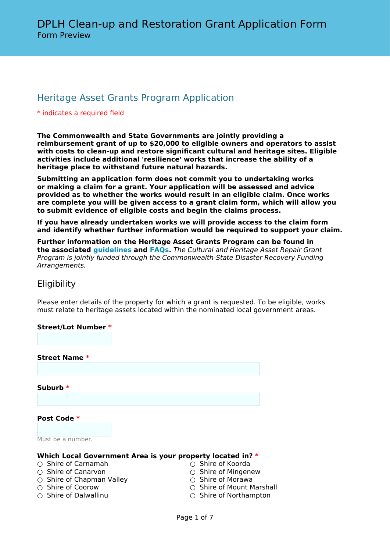# Heritage Asset Grants Program Application

#### \* indicates a required field

**The Commonwealth and State Governments are jointly providing a reimbursement grant of up to \$20,000 to eligible owners and operators to assist with costs to clean-up and restore significant cultural and heritage sites. Eligible activities include additional 'resilience' works that increase the ability of a heritage place to withstand future natural hazards.**

**Submitting an application form does not commit you to undertaking works or making a claim for a grant. Your application will be assessed and advice provided as to whether the works would result in an eligible claim. Once works are complete you will be given access to a grant claim form, which will allow you to submit evidence of eligible costs and begin the claims process.**

**If you have already undertaken works we will provide access to the claim form and identify whether further information would be required to support your claim.**

**Further information on the Heritage Asset Grants Program can be found in the associated [guidelines](https://www.dplh.wa.gov.au/DepartmentofPlanningLandsHeritage/media/Documents/Fileshare/Cyclone-Seroja-Heritage-Asset-Grants-Guidelines.pdf) and [FAQs.](https://www.dplh.wa.gov.au/DepartmentofPlanningLandsHeritage/media/Documents/Fileshare/Cyclone-Seroja-Heritage-Asset-Grants-FAQs.pdf)** *The Cultural and Heritage Asset Repair Grant Program is jointly funded through the Commonwealth-State Disaster Recovery Funding Arrangements.*

# **Eligibility**

Please enter details of the property for which a grant is requested. To be eligible, works must relate to heritage assets located within the nominated local government areas.

# **Street/Lot Number \* Street Name \* Suburb \* Post Code \*** Must be a number.

#### **Which Local Government Area is your property located in? \***

- Shire of Carnamah Shire of Koorda
- 
- Shire of Canarvon Shire of Mingenew  $\bigcirc$  Shire of Chapman Valley  $\bigcirc$  Shire of Coorow
- 
- 
- 
- 
- 
- Shire of Coorow Shire of Mount Marshall
	- Shire of Northampton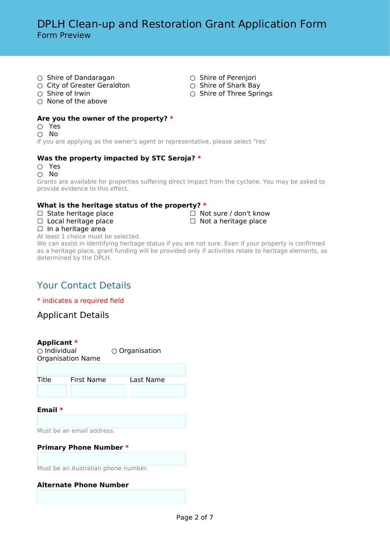- 
- Shire of Dandaragan Shire of Perenjori  $\bigcirc$  City of Greater Geraldton
- Shire of Irwin Shire of Three Springs
- $\bigcirc$  None of the above

#### **Are you the owner of the property? \***

- Yes
- No

If you are applying as the owner's agent or representative, please select 'Yes'

#### **Was the property impacted by STC Seroja? \***

○ Yes

○ No Grants are available for properties suffering direct impact from the cyclone. You may be asked to provide evidence to this effect.

#### **What is the heritage status of the property? \***

- ☐ State heritage place ☐ Not sure / don't know
- ☐ Local heritage place ☐ Not a heritage place
- 

 $\Box$  In a heritage area

At least 1 choice must be selected.

We can assist in identifying heritage status if you are not sure. Even if your property is confirmed as a heritage place, grant funding will be provided only if activities relate to heritage elements, as determined by the DPLH.

# Your Contact Details

\* indicates a required field

Applicant Details

#### **Applicant \***

○ Individual ○ Organisation Organisation Name

| First Name | Last Name |
|------------|-----------|

**Email \***

Must be an email address.

#### **Primary Phone Number \***

Must be an Australian phone number.

#### **Alternate Phone Number**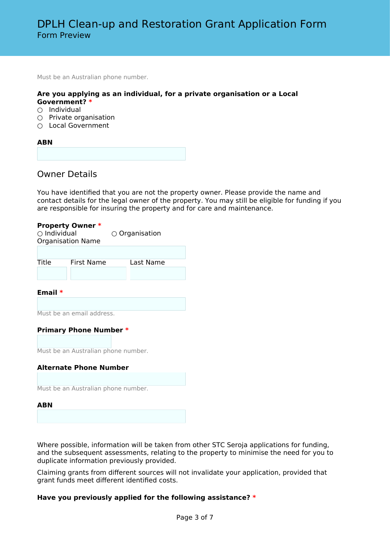Must be an Australian phone number.

#### **Are you applying as an individual, for a private organisation or a Local Government? \***

- $\bigcirc$  Individual
- $\bigcirc$  Private organisation
- Local Government

# **ABN**

## Owner Details

You have identified that you are not the property owner. Please provide the name and contact details for the legal owner of the property. You may still be eligible for funding if you are responsible for insuring the property and for care and maintenance.

#### **Property Owner \***

| $\bigcirc$ Individual<br><b>Organisation Name</b> |            | $\circ$ Organisation |  |
|---------------------------------------------------|------------|----------------------|--|
|                                                   |            |                      |  |
| Title                                             | First Name | Last Name            |  |
|                                                   |            |                      |  |

#### **Email \***

Must be an email address.

#### **Primary Phone Number \***

Must be an Australian phone number.

#### **Alternate Phone Number**

Must be an Australian phone number.

#### **ABN**

Where possible, information will be taken from other STC Seroja applications for funding, and the subsequent assessments, relating to the property to minimise the need for you to duplicate information previously provided.

Claiming grants from different sources will not invalidate your application, provided that grant funds meet different identified costs.

#### **Have you previously applied for the following assistance? \***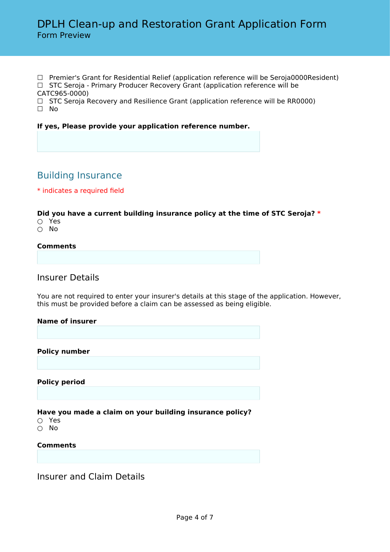- ☐ Premier's Grant for Residential Relief (application reference will be Seroja0000Resident)
- □ STC Seroja Primary Producer Recovery Grant (application reference will be
- CATC965-0000)
- $\Box$  STC Seroja Recovery and Resilience Grant (application reference will be RR0000) ☐ No

## **If yes, Please provide your application reference number.**

# Building Insurance

## \* indicates a required field

## **Did you have a current building insurance policy at the time of STC Seroja? \***

- Yes
- No

## **Comments**

# Insurer Details

You are not required to enter your insurer's details at this stage of the application. However, this must be provided before a claim can be assessed as being eligible.

#### **Name of insurer**

**Policy number**

**Policy period**

## **Have you made a claim on your building insurance policy?**

- Yes
- No

#### **Comments**

Insurer and Claim Details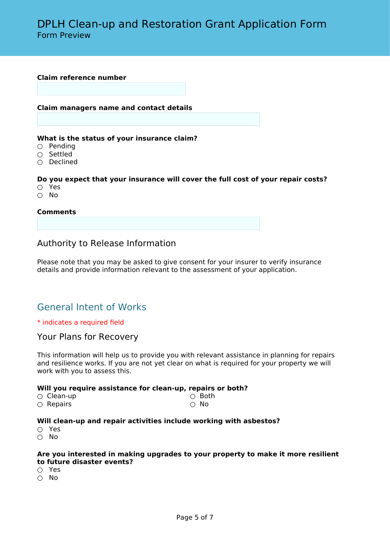#### **Claim reference number**

#### **Claim managers name and contact details**

#### **What is the status of your insurance claim?**

- Pending
- Settled
- $\overline{O}$  Declined

#### **Do you expect that your insurance will cover the full cost of your repair costs?**

- Yes
- No

#### **Comments**

## Authority to Release Information

Please note that you may be asked to give consent for your insurer to verify insurance details and provide information relevant to the assessment of your application.

# General Intent of Works

#### \* indicates a required field

#### Your Plans for Recovery

This information will help us to provide you with relevant assistance in planning for repairs and resilience works. If you are not yet clear on what is required for your property we will work with you to assess this.

#### **Will you require assistance for clean-up, repairs or both?**

| $\circlearrowright$ Clean-up | $\circ$ Both |
|------------------------------|--------------|
| $\circ$ Repairs              | ∩ No         |

#### **Will clean-up and repair activities include working with asbestos?**

- Yes
- No

#### **Are you interested in making upgrades to your property to make it more resilient to future disaster events?**

- Yes
- No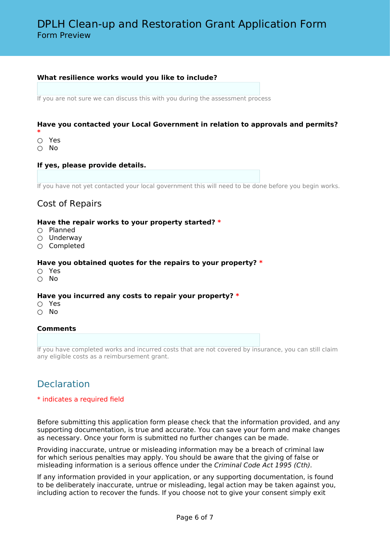#### **What resilience works would you like to include?**

If you are not sure we can discuss this with you during the assessment process

#### **Have you contacted your Local Government in relation to approvals and permits?**

- **\***
- Yes
- No

#### **If yes, please provide details.**

If you have not yet contacted your local government this will need to be done before you begin works.

# Cost of Repairs

#### **Have the repair works to your property started? \***

- Planned
- Underway
- Completed

#### **Have you obtained quotes for the repairs to your property? \***

- Yes
- No

#### **Have you incurred any costs to repair your property? \***

- Yes
- No

#### **Comments**

If you have completed works and incurred costs that are not covered by insurance, you can still claim any eligible costs as a reimbursement grant.

# Declaration

#### \* indicates a required field

Before submitting this application form please check that the information provided, and any supporting documentation, is true and accurate. You can save your form and make changes as necessary. Once your form is submitted no further changes can be made.

Providing inaccurate, untrue or misleading information may be a breach of criminal law for which serious penalties may apply. You should be aware that the giving of false or misleading information is a serious offence under the *Criminal Code Act 1995 (Cth).*

If any information provided in your application, or any supporting documentation, is found to be deliberately inaccurate, untrue or misleading, legal action may be taken against you, including action to recover the funds. If you choose not to give your consent simply exit